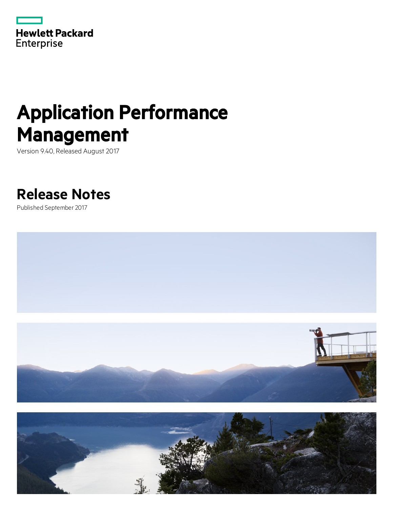

# Application Performance Management

Version 9.40, Released August 2017

# **Release Notes**

Published September 2017



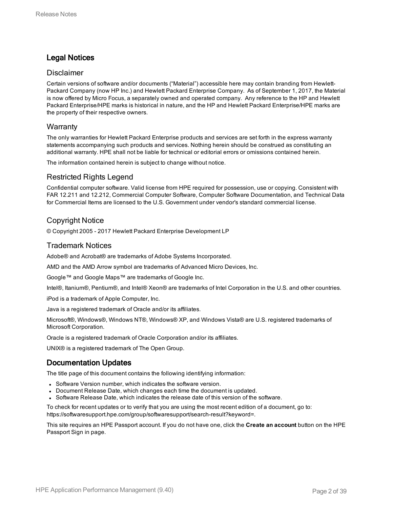### Legal Notices

### Disclaimer

Certain versions of software and/or documents ("Material") accessible here may contain branding from Hewlett-Packard Company (now HP Inc.) and Hewlett Packard Enterprise Company. As of September 1, 2017, the Material is now offered by Micro Focus, a separately owned and operated company. Any reference to the HP and Hewlett Packard Enterprise/HPE marks is historical in nature, and the HP and Hewlett Packard Enterprise/HPE marks are the property of their respective owners.

### **Warranty**

The only warranties for Hewlett Packard Enterprise products and services are set forth in the express warranty statements accompanying such products and services. Nothing herein should be construed as constituting an additional warranty. HPE shall not be liable for technical or editorial errors or omissions contained herein.

The information contained herein is subject to change without notice.

### Restricted Rights Legend

Confidential computer software. Valid license from HPE required for possession, use or copying. Consistent with FAR 12.211 and 12.212, Commercial Computer Software, Computer Software Documentation, and Technical Data for Commercial Items are licensed to the U.S. Government under vendor's standard commercial license.

### Copyright Notice

© Copyright 2005 - 2017 Hewlett Packard Enterprise Development LP

### Trademark Notices

Adobe® and Acrobat® are trademarks of Adobe Systems Incorporated.

AMD and the AMD Arrow symbol are trademarks of Advanced Micro Devices, Inc.

Google™ and Google Maps™ are trademarks of Google Inc.

Intel®, Itanium®, Pentium®, and Intel® Xeon® are trademarks of Intel Corporation in the U.S. and other countries.

iPod is a trademark of Apple Computer, Inc.

Java is a registered trademark of Oracle and/or its affiliates.

Microsoft®, Windows®, Windows NT®, Windows® XP, and Windows Vista® are U.S. registered trademarks of Microsoft Corporation.

Oracle is a registered trademark of Oracle Corporation and/or its affiliates.

UNIX® is a registered trademark of The Open Group.

### Documentation Updates

The title page of this document contains the following identifying information:

- Software Version number, which indicates the software version.
- Document Release Date, which changes each time the document is updated.
- Software Release Date, which indicates the release date of this version of the software.

To check for recent updates or to verify that you are using the most recent edition of a document, go to: https://softwaresupport.hpe.com/group/softwaresupport/search-result?keyword=.

This site requires an HPE Passport account. If you do not have one, click the **Create an account** button on the HPE Passport Sign in page.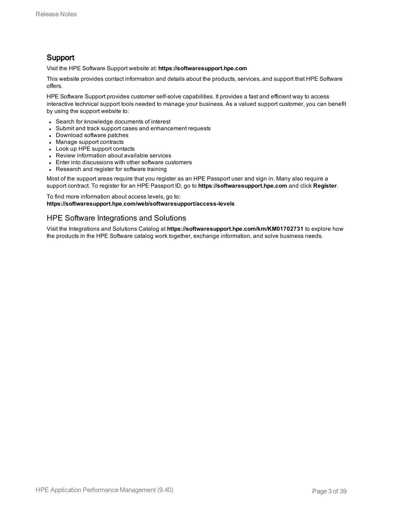### Support

Visit the HPE Software Support website at: **https://softwaresupport.hpe.com**

This website provides contact information and details about the products, services, and support that HPE Software offers.

HPE Software Support provides customer self-solve capabilities. It provides a fast and efficient way to access interactive technical support tools needed to manage your business. As a valued support customer, you can benefit by using the support website to:

- Search for knowledge documents of interest
- Submit and track support cases and enhancement requests
- Download software patches
- Manage support contracts
- Look up HPE support contacts
- Review information about available services
- Enter into discussions with other software customers
- Research and register for software training

Most of the support areas require that you register as an HPE Passport user and sign in. Many also require a support contract. To register for an HPE Passport ID, go to **https://softwaresupport.hpe.com** and click **Register**.

To find more information about access levels, go to: **https://softwaresupport.hpe.com/web/softwaresupport/access-levels**

### HPE Software Integrations and Solutions

Visit the Integrations and Solutions Catalog at **https://softwaresupport.hpe.com/km/KM01702731** to explore how the products in the HPE Software catalog work together, exchange information, and solve business needs.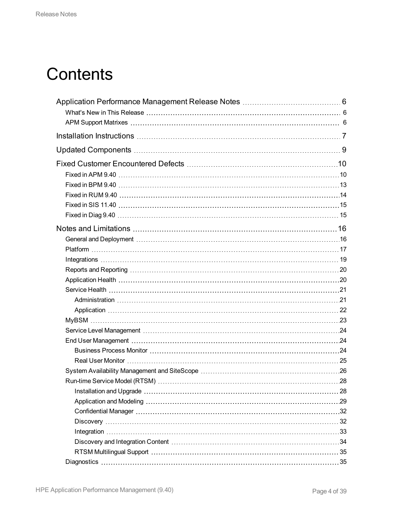# **Contents**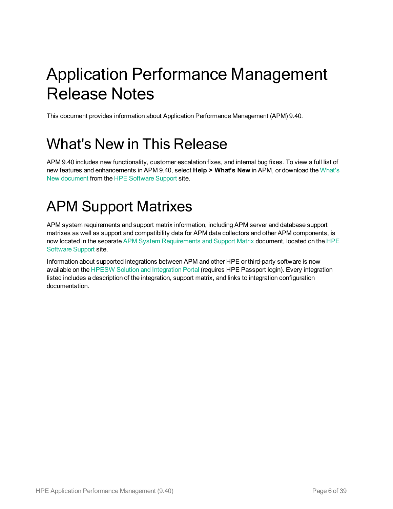# <span id="page-5-0"></span>Application Performance Management Release Notes

<span id="page-5-1"></span>This document provides information about Application Performance Management (APM) 9.40.

# What's New in This Release

APM 9.40 includes new functionality, customer escalation fixes, and internal bug fixes. To view a full list of new features and enhancements in APM 9.40, select **Help > What's New** in APM, or download the [What's](https://softwaresupport.hpe.com/km/KM02505616) New [document](https://softwaresupport.hpe.com/km/KM02505616) from the HPE [Software](https://softwaresupport.hpe.com/) Support site.

# <span id="page-5-2"></span>APM Support Matrixes

APM system requirements and support matrix information, including APM server and database support matrixes as well as support and compatibility data for APM data collectors and other APM components, is now located in the separate APM System [Requirements](https://softwaresupport.hpe.com/km/KM02505665) and Support Matrix document, located on the [HPE](https://softwaresupport.hpe.com/) [Software](https://softwaresupport.hpe.com/) Support site.

Information about supported integrations between APM and other HPE or third-party software is now available on the HPESW Solution and [Integration](https://hpe.sharepoint.com/teams/aztec/Portal/index.html) Portal (requires HPE Passport login). Every integration listed includes a description of the integration, support matrix, and links to integration configuration documentation.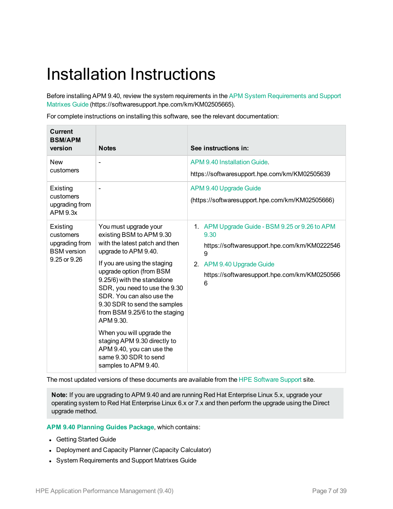# <span id="page-6-0"></span>Installation Instructions

Before installing APM 9.40, review the system requirements in the APM System [Requirements](https://softwaresupport.hpe.com/km/KM02505665) and Support [Matrixes](https://softwaresupport.hpe.com/km/KM02505665) Guide (https://softwaresupport.hpe.com/km/KM02505665).

For complete instructions on installing this software, see the relevant documentation:

| <b>Current</b><br><b>BSM/APM</b><br>version                                   | <b>Notes</b>                                                                                                                                                                                                                                                                                                                                                                                                                                                                                   | See instructions in:                                                                                                                                                                          |
|-------------------------------------------------------------------------------|------------------------------------------------------------------------------------------------------------------------------------------------------------------------------------------------------------------------------------------------------------------------------------------------------------------------------------------------------------------------------------------------------------------------------------------------------------------------------------------------|-----------------------------------------------------------------------------------------------------------------------------------------------------------------------------------------------|
| <b>New</b><br>customers                                                       | $\blacksquare$                                                                                                                                                                                                                                                                                                                                                                                                                                                                                 | APM 9.40 Installation Guide.<br>https://softwaresupport.hpe.com/km/KM02505639                                                                                                                 |
| Existing<br>customers<br>upgrading from<br><b>APM 9.3x</b>                    |                                                                                                                                                                                                                                                                                                                                                                                                                                                                                                | APM 9.40 Upgrade Guide<br>(https://softwaresupport.hpe.com/km/KM02505666)                                                                                                                     |
| Existing<br>customers<br>upgrading from<br><b>BSM</b> version<br>9.25 or 9.26 | You must upgrade your<br>existing BSM to APM 9.30<br>with the latest patch and then<br>upgrade to APM 9.40.<br>If you are using the staging<br>upgrade option (from BSM<br>9.25/6) with the standalone<br>SDR, you need to use the 9.30<br>SDR. You can also use the<br>9.30 SDR to send the samples<br>from BSM 9.25/6 to the staging<br>APM 9.30.<br>When you will upgrade the<br>staging APM 9.30 directly to<br>APM 9.40, you can use the<br>same 9.30 SDR to send<br>samples to APM 9.40. | 1. APM Upgrade Guide - BSM 9.25 or 9.26 to APM<br>9.30<br>https://softwaresupport.hpe.com/km/KM0222546<br>9<br>2. APM 9.40 Upgrade Guide<br>https://softwaresupport.hpe.com/km/KM0250566<br>6 |

The most updated versions of these documents are available from the HPE [Software](https://softwaresupport.hpe.com/) Support site.

**Note:** If you are upgrading to APM 9.40 and are running Red Hat Enterprise Linux 5.x, upgrade your operating system to Red Hat Enterprise Linux 6.x or 7.x and then perform the upgrade using the Direct upgrade method.

**APM 9.40 [Planning](https://softwaresupport.hpe.com/km/KM02505696) Guides Package**, which contains:

- Getting Started Guide
- Deployment and Capacity Planner (Capacity Calculator)
- System Requirements and Support Matrixes Guide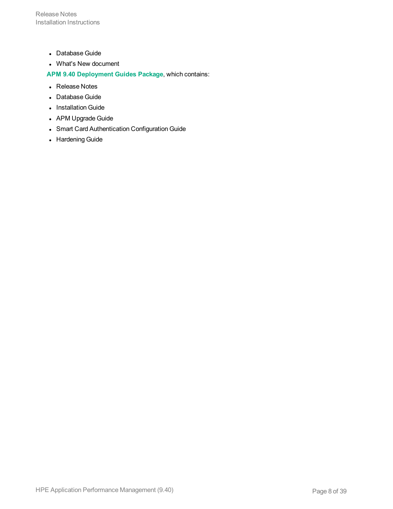Release Notes Installation Instructions

- Database Guide
- What's New document

**APM 9.40 [Deployment](https://softwaresupport.hpe.com/km/KM02505694) Guides Package**, which contains:

- Release Notes
- Database Guide
- Installation Guide
- APM Upgrade Guide
- Smart Card Authentication Configuration Guide
- Hardening Guide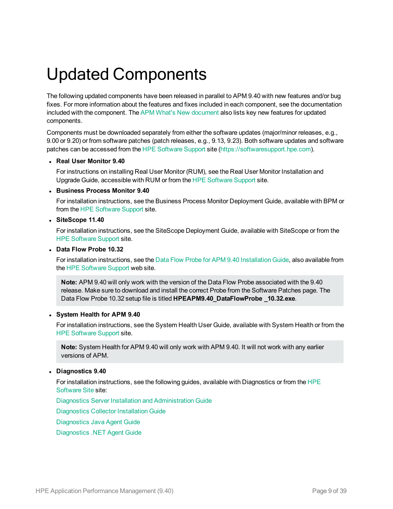# <span id="page-8-0"></span>Updated Components

The following updated components have been released in parallel to APM 9.40 with new features and/or bug fixes. For more information about the features and fixes included in each component, see the documentation included with the component. The APM What's New [document](https://softwaresupport.hpe.com/km/KM02505616) also lists key new features for updated components.

Components must be downloaded separately from either the software updates (major/minor releases, e.g., 9.00 or 9.20) or from software patches (patch releases, e.g., 9.13, 9.23). Both software updates and software patches can be accessed from the HPE [Software](https://softwaresupport.hpe.com/) Support site ([https://softwaresupport.hpe.com](https://softwaresupport.hpe.com/)).

#### <sup>l</sup> **Real User Monitor 9.40**

For instructions on installing Real User Monitor (RUM), see the Real User Monitor Installation and Upgrade Guide, accessible with RUM or from the HPE [Software](https://softwaresupport.hpe.com/) Support site.

#### <sup>l</sup> **Business Process Monitor 9.40**

For installation instructions, see the Business Process Monitor Deployment Guide, available with BPM or from the HPE [Software](https://softwaresupport.hpe.com/) Support site.

#### <sup>l</sup> **SiteScope 11.40**

For installation instructions, see the SiteScope Deployment Guide, available with SiteScope or from the HPE [Software](https://softwaresupport.hpe.com/) Support site.

#### <sup>l</sup> **Data Flow Probe 10.32**

For installation instructions, see the Data Flow Probe for APM 9.40 [Installation](https://softwaresupport.hpe.com/km/KM02505628) Guide, also available from the HPE [Software](https://softwaresupport.hpe.com/) Support web site.

**Note:** APM 9.40 will only work with the version of the Data Flow Probe associated with the 9.40 release. Make sure to download and install the correct Probe from the Software Patches page. The Data Flow Probe 10.32 setup file is titled **HPEAPM9.40\_DataFlowProbe \_10.32.exe**.

### <sup>l</sup> **System Health for APM 9.40**

For installation instructions, see the System Health User Guide, available with System Health or from the HPE [Software](https://softwaresupport.hpe.com/) Support site.

**Note:** System Health for APM 9.40 will only work with APM 9.40. It will not work with any earlier versions of APM.

### <sup>l</sup> **Diagnostics 9.40**

For installation instructions, see the following guides, available with Diagnostics or from the [HPE](https://softwaresupport.hpe.com/) [Software](https://softwaresupport.hpe.com/) Site site:

Diagnostics Server Installation and [Administration](https://softwaresupport.hpe.com/km/KM02692452) Guide

[Diagnostics](https://softwaresupport.hpe.com/km/KM02692491) Collector Installation Guide

[Diagnostics](https://softwaresupport.hpe.com/km/KM02692475) Java Agent Guide

[Diagnostics](https://softwaresupport.hpe.com/km/KM02692490) .NET Agent Guide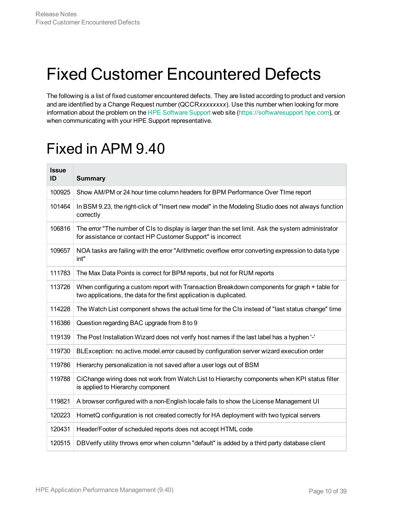# <span id="page-9-0"></span>Fixed Customer Encountered Defects

The following is a list of fixed customer encountered defects. They are listed according to product and version and are identified by a Change Request number (QCCR*xxxxxxxx*). Use this number when looking for more information about the problem on the HPE [Software](https://softwaresupport.hpe.com/) Support web site [\(https://softwaresupport.hpe.com](http://www.hp.com/go/hpsoftwaresupport)), or when communicating with your HPE Support representative.

# <span id="page-9-1"></span>Fixed in APM 9.40

| <b>Issue</b><br>ID | <b>Summary</b>                                                                                                                                                      |
|--------------------|---------------------------------------------------------------------------------------------------------------------------------------------------------------------|
| 100925             | Show AM/PM or 24 hour time column headers for BPM Performance Over TIme report                                                                                      |
| 101464             | In BSM 9.23, the right-click of "Insert new model" in the Modeling Studio does not always function<br>correctly                                                     |
| 106816             | The error "The number of CIs to display is larger than the set limit. Ask the system administrator<br>for assistance or contact HP Customer Support" is incorrect   |
| 109657             | NOA tasks are failing with the error "Arithmetic overflow error converting expression to data type<br>int"                                                          |
| 111783             | The Max Data Points is correct for BPM reports, but not for RUM reports                                                                                             |
| 113726             | When configuring a custom report with Transaction Breakdown components for graph + table for<br>two applications, the data for the first application is duplicated. |
| 114228             | The Watch List component shows the actual time for the CIs instead of "last status change" time                                                                     |
| 116386             | Question regarding BAC upgrade from 8 to 9                                                                                                                          |
| 119139             | The Post Installation Wizard does not verify host names if the last label has a hyphen '-'                                                                          |
| 119730             | BLException: no.active.model.error caused by configuration server wizard execution order                                                                            |
| 119786             | Hierarchy personalization is not saved after a user logs out of BSM                                                                                                 |
| 119788             | CiChange wiring does not work from Watch List to Hierarchy components when KPI status filter<br>is applied to Hierarchy component                                   |
| 119821             | A browser configured with a non-English locale fails to show the License Management UI                                                                              |
| 120223             | HornetQ configuration is not created correctly for HA deployment with two typical servers                                                                           |
| 120431             | Header/Footer of scheduled reports does not accept HTML code                                                                                                        |
| 120515             | DBVerify utility throws error when column "default" is added by a third party database client                                                                       |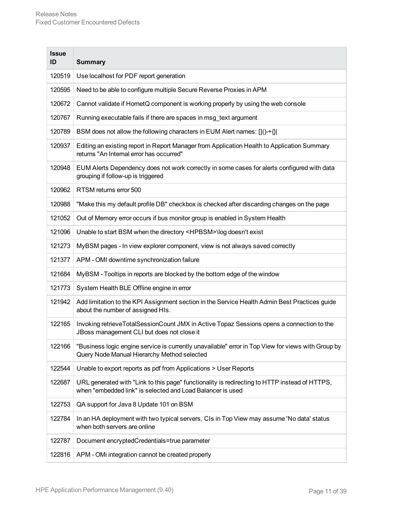| <b>Issue</b><br>ID | <b>Summary</b>                                                                                                                                              |
|--------------------|-------------------------------------------------------------------------------------------------------------------------------------------------------------|
| 120519             | Use localhost for PDF report generation                                                                                                                     |
| 120595             | Need to be able to configure multiple Secure Reverse Proxies in APM                                                                                         |
| 120672             | Cannot validate if HornetQ component is working properly by using the web console                                                                           |
| 120767             | Running executable fails if there are spaces in msg_text argument                                                                                           |
| 120789             | BSM does not allow the following characters in EUM Alert names: []()-+{}                                                                                    |
| 120937             | Editing an existing report in Report Manager from Application Health to Application Summary<br>returns "An Internal error has occurred"                     |
| 120948             | EUM Alerts Dependency does not work correctly in some cases for alerts configured with data<br>grouping if follow-up is triggered                           |
| 120962             | RTSM returns error 500                                                                                                                                      |
| 120988             | "Make this my default profile DB" checkbox is checked after discarding changes on the page                                                                  |
| 121052             | Out of Memory error occurs if bus monitor group is enabled in System Health                                                                                 |
| 121096             | Unable to start BSM when the directory <hpbsm>\log doesn't exist</hpbsm>                                                                                    |
| 121273             | MyBSM pages - In view explorer component, view is not always saved correctly                                                                                |
| 121377             | APM - OMI downtime synchronization failure                                                                                                                  |
| 121684             | MyBSM - Tooltips in reports are blocked by the bottom edge of the window                                                                                    |
| 121773             | System Health BLE Offline engine in error                                                                                                                   |
| 121942             | Add limitation to the KPI Assignment section in the Service Health Admin Best Practices guide<br>about the number of assigned HIs.                          |
| 122165             | Invoking retrieveTotalSessionCount JMX in Active Topaz Sessions opens a connection to the<br>JBoss management CLI but does not close it                     |
| 122166             | "Business logic engine service is currently unavailable" error in Top View for views with Group by<br>Query Node Manual Hierarchy Method selected           |
| 122544             | Unable to export reports as pdf from Applications > User Reports                                                                                            |
| 122687             | URL generated with "Link to this page" functionality is redirecting to HTTP instead of HTTPS,<br>when "embedded link" is selected and Load Balancer is used |
| 122753             | QA support for Java 8 Update 101 on BSM                                                                                                                     |
| 122784             | In an HA deployment with two typical servers, CIs in Top View may assume 'No data' status<br>when both servers are online                                   |
| 122787             | Document encryptedCredentials=true parameter                                                                                                                |
| 122816             | APM - OMi integration cannot be created properly                                                                                                            |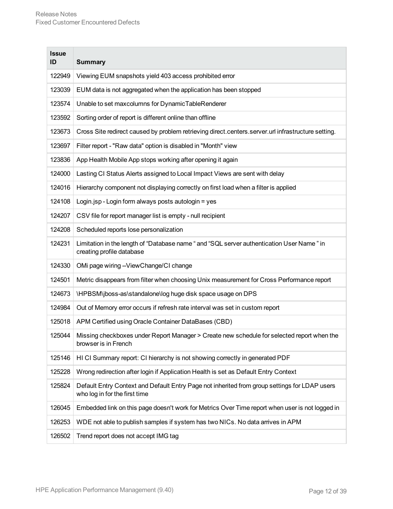| <b>Issue</b><br>ID | <b>Summary</b>                                                                                                                 |
|--------------------|--------------------------------------------------------------------------------------------------------------------------------|
| 122949             | Viewing EUM snapshots yield 403 access prohibited error                                                                        |
| 123039             | EUM data is not aggregated when the application has been stopped                                                               |
| 123574             | Unable to set maxcolumns for DynamicTableRenderer                                                                              |
| 123592             | Sorting order of report is different online than offline                                                                       |
| 123673             | Cross Site redirect caused by problem retrieving direct.centers.server.url infrastructure setting.                             |
| 123697             | Filter report - "Raw data" option is disabled in "Month" view                                                                  |
| 123836             | App Health Mobile App stops working after opening it again                                                                     |
| 124000             | Lasting CI Status Alerts assigned to Local Impact Views are sent with delay                                                    |
| 124016             | Hierarchy component not displaying correctly on first load when a filter is applied                                            |
| 124108             | Login.jsp - Login form always posts autologin = yes                                                                            |
| 124207             | CSV file for report manager list is empty - null recipient                                                                     |
| 124208             | Scheduled reports lose personalization                                                                                         |
| 124231             | Limitation in the length of "Database name " and "SQL server authentication User Name" in<br>creating profile database         |
| 124330             | OMi page wiring -- View Change/CI change                                                                                       |
| 124501             | Metric disappears from filter when choosing Unix measurement for Cross Performance report                                      |
| 124673             | \HPBSM\jboss-as\standalone\log huge disk space usage on DPS                                                                    |
| 124984             | Out of Memory error occurs if refresh rate interval was set in custom report                                                   |
| 125018             | APM Certified using Oracle Container DataBases (CBD)                                                                           |
| 125044             | Missing checkboxes under Report Manager > Create new schedule for selected report when the<br>browser is in French             |
| 125146             | HI CI Summary report: CI hierarchy is not showing correctly in generated PDF                                                   |
| 125228             | Wrong redirection after login if Application Health is set as Default Entry Context                                            |
| 125824             | Default Entry Context and Default Entry Page not inherited from group settings for LDAP users<br>who log in for the first time |
| 126045             | Embedded link on this page doesn't work for Metrics Over Time report when user is not logged in                                |
| 126253             | WDE not able to publish samples if system has two NICs. No data arrives in APM                                                 |
| 126502             | Trend report does not accept IMG tag                                                                                           |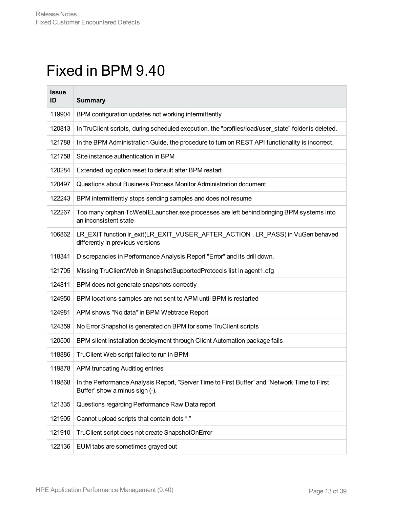# <span id="page-12-0"></span>Fixed in BPM 9.40

| <b>Issue</b><br>ID | <b>Summary</b>                                                                                                                 |
|--------------------|--------------------------------------------------------------------------------------------------------------------------------|
| 119904             | BPM configuration updates not working intermittently                                                                           |
| 120813             | In TruClient scripts, during scheduled execution, the "profiles/load/user_state" folder is deleted.                            |
| 121788             | In the BPM Administration Guide, the procedure to turn on REST API functionality is incorrect.                                 |
| 121758             | Site instance authentication in BPM                                                                                            |
| 120284             | Extended log option reset to default after BPM restart                                                                         |
| 120497             | Questions about Business Process Monitor Administration document                                                               |
| 122243             | BPM intermittently stops sending samples and does not resume                                                                   |
| 122267             | Too many orphan TcWebIELauncher.exe processes are left behind bringing BPM systems into<br>an inconsistent state               |
| 106862             | LR_EXIT function Ir_exit(LR_EXIT_VUSER_AFTER_ACTION, LR_PASS) in VuGen behaved<br>differently in previous versions             |
| 118341             | Discrepancies in Performance Analysis Report "Error" and its drill down.                                                       |
| 121705             | Missing TruClientWeb in SnapshotSupportedProtocols list in agent1.cfg                                                          |
| 124811             | BPM does not generate snapshots correctly                                                                                      |
| 124950             | BPM locations samples are not sent to APM until BPM is restarted                                                               |
| 124981             | APM shows "No data" in BPM Webtrace Report                                                                                     |
| 124359             | No Error Snapshot is generated on BPM for some TruClient scripts                                                               |
| 120500             | BPM silent installation deployment through Client Automation package fails                                                     |
| 118886             | TruClient Web script failed to run in BPM                                                                                      |
| 119878             | APM truncating Auditlog entries                                                                                                |
| 119868             | In the Performance Analysis Report, "Server Time to First Buffer" and "Network Time to First<br>Buffer" show a minus sign (-). |
| 121335             | Questions regarding Performance Raw Data report                                                                                |
| 121905             | Cannot upload scripts that contain dots "."                                                                                    |
| 121910             | TruClient script does not create SnapshotOnError                                                                               |
| 122136             | EUM tabs are sometimes grayed out                                                                                              |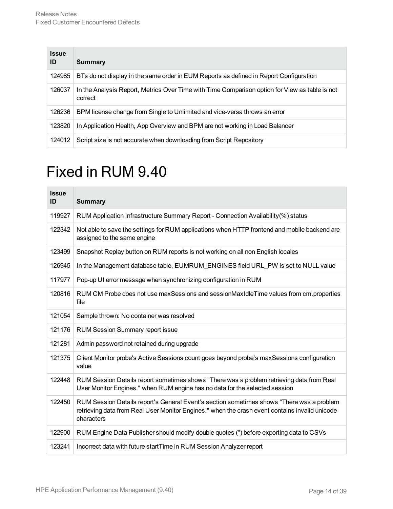| <b>Issue</b><br>ID | Summary                                                                                                   |
|--------------------|-----------------------------------------------------------------------------------------------------------|
| 124985             | BTs do not display in the same order in EUM Reports as defined in Report Configuration                    |
| 126037             | In the Analysis Report, Metrics Over Time with Time Comparison option for View as table is not<br>correct |
| 126236             | BPM license change from Single to Unlimited and vice-versa throws an error                                |
| 123820             | In Application Health, App Overview and BPM are not working in Load Balancer                              |
| 124012             | Script size is not accurate when downloading from Script Repository                                       |

# <span id="page-13-0"></span>Fixed in RUM 9.40

| <b>Issue</b><br>ID | <b>Summary</b>                                                                                                                                                                                            |
|--------------------|-----------------------------------------------------------------------------------------------------------------------------------------------------------------------------------------------------------|
| 119927             | RUM Application Infrastructure Summary Report - Connection Availability(%) status                                                                                                                         |
| 122342             | Not able to save the settings for RUM applications when HTTP frontend and mobile backend are<br>assigned to the same engine                                                                               |
| 123499             | Snapshot Replay button on RUM reports is not working on all non English locales                                                                                                                           |
| 126945             | In the Management database table, EUMRUM ENGINES field URL PW is set to NULL value                                                                                                                        |
| 117977             | Pop-up UI error message when synchronizing configuration in RUM                                                                                                                                           |
| 120816             | RUM CM Probe does not use maxSessions and sessionMaxIdleTime values from cm.properties<br>file                                                                                                            |
| 121054             | Sample thrown: No container was resolved                                                                                                                                                                  |
| 121176             | <b>RUM Session Summary report issue</b>                                                                                                                                                                   |
| 121281             | Admin password not retained during upgrade                                                                                                                                                                |
| 121375             | Client Monitor probe's Active Sessions count goes beyond probe's maxSessions configuration<br>value                                                                                                       |
| 122448             | RUM Session Details report sometimes shows "There was a problem retrieving data from Real<br>User Monitor Engines." when RUM engine has no data for the selected session                                  |
| 122450             | RUM Session Details report's General Event's section sometimes shows "There was a problem<br>retrieving data from Real User Monitor Engines." when the crash event contains invalid unicode<br>characters |
| 122900             | RUM Engine Data Publisher should modify double quotes (") before exporting data to CSVs                                                                                                                   |
| 123241             | Incorrect data with future startTime in RUM Session Analyzer report                                                                                                                                       |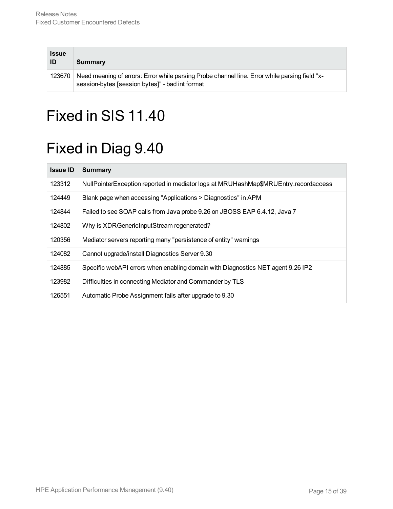| <b>Issue</b><br>ID | Summary                                                                                                                                          |
|--------------------|--------------------------------------------------------------------------------------------------------------------------------------------------|
| 123670             | Need meaning of errors: Error while parsing Probe channel line. Error while parsing field "x-<br>session-bytes [session bytes]" - bad int format |

# <span id="page-14-1"></span><span id="page-14-0"></span>Fixed in SIS 11.40

# Fixed in Diag 9.40

| <b>Issue ID</b> | <b>Summary</b>                                                                      |
|-----------------|-------------------------------------------------------------------------------------|
| 123312          | NullPointerException reported in mediator logs at MRUHashMap\$MRUEntry.recordaccess |
| 124449          | Blank page when accessing "Applications > Diagnostics" in APM                       |
| 124844          | Failed to see SOAP calls from Java probe 9.26 on JBOSS EAP 6.4.12, Java 7           |
| 124802          | Why is XDRGenericInputStream regenerated?                                           |
| 120356          | Mediator servers reporting many "persistence of entity" warnings                    |
| 124082          | Cannot upgrade/install Diagnostics Server 9.30                                      |
| 124885          | Specific webAPI errors when enabling domain with Diagnostics NET agent 9.26 IP2     |
| 123982          | Difficulties in connecting Mediator and Commander by TLS                            |
| 126551          | Automatic Probe Assignment fails after upgrade to 9.30                              |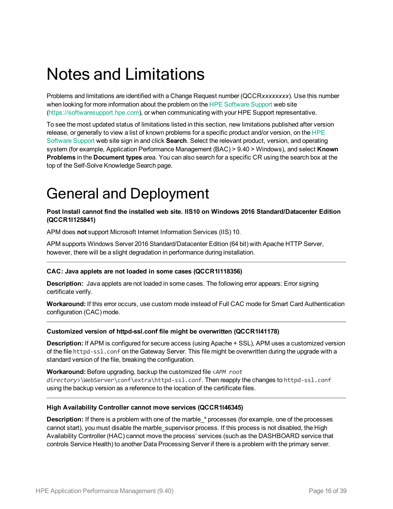# <span id="page-15-0"></span>Notes and Limitations

Problems and limitations are identified with a Change Request number (QCCR*xxxxxxxx*). Use this number when looking for more information about the problem on the HPE [Software](https://softwaresupport.hpe.com/) Support web site [\(https://softwaresupport.hpe.com\)](http://www.hp.com/go/hpsoftwaresupport), or when communicating with your HPE Support representative.

To see the most updated status of limitations listed in this section, new limitations published after version release, or generally to view a list of known problems for a specific product and/or version, on the [HPE](https://softwaresupport.hpe.com/) [Software](https://softwaresupport.hpe.com/) Support web site sign in and click **Search**. Select the relevant product, version, and operating system (for example, Application Performance Management (BAC) > 9.40 > Windows), and select **Known Problems** in the **Document types** area. You can also search for a specific CR using the search box at the top of the Self-Solve Knowledge Search page.

# <span id="page-15-1"></span>General and Deployment

### **Post Install cannot find the installed web site. IIS10 on Windows 2016 Standard/Datacenter Edition (QCCR1I125841)**

APM does **not** support Microsoft Internet Information Services (IIS) 10.

APM supports Windows Server 2016 Standard/Datacenter Edition (64 bit) with Apache HTTP Server, however, there will be a slight degradation in performance during installation.

### **CAC: Java applets are not loaded in some cases (QCCR1I118356)**

**Description:** Java applets are not loaded in some cases. The following error appears: Error signing certificate verify.

**Workaround:** If this error occurs, use custom mode instead of Full CAC mode for Smart Card Authentication configuration (CAC) mode.

#### **Customized version of httpd-ssl.conf file might be overwritten (QCCR1I41178)**

**Description:** If APM is configured for secure access (using Apache + SSL), APM uses a customized version of the file httpd-ssl.conf on the Gateway Server. This file might be overwritten during the upgrade with a standard version of the file, breaking the configuration.

**Workaround:** Before upgrading, backup the customized file <*APM root directory*>\WebServer\conf\extra\httpd-ssl.conf. Then reapply the changes to httpd-ssl.conf

using the backup version as a reference to the location of the certificate files.

#### **High Availability Controller cannot move services (QCCR1I46345)**

**Description:** If there is a problem with one of the marble\_\* processes (for example, one of the processes cannot start), you must disable the marble\_supervisor process. If this process is not disabled, the High Availability Controller (HAC) cannot move the process' services (such as the DASHBOARD service that controls Service Health) to another Data Processing Server if there is a problem with the primary server.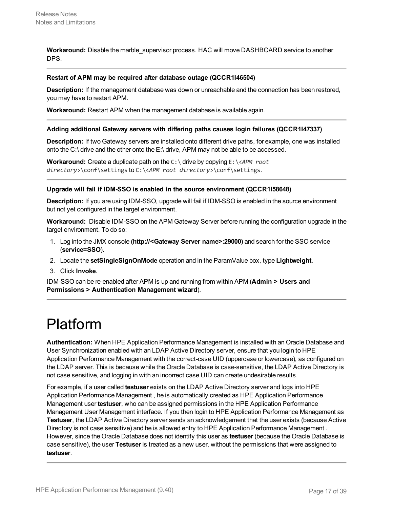**Workaround:** Disable the marble supervisor process. HAC will move DASHBOARD service to another DPS.

#### **Restart of APM may be required after database outage (QCCR1I46504)**

**Description:** If the management database was down or unreachable and the connection has been restored, you may have to restart APM.

**Workaround:** Restart APM when the management database is available again.

#### **Adding additional Gateway servers with differing paths causes login failures (QCCR1I47337)**

**Description:** If two Gateway servers are installed onto different drive paths, for example, one was installed onto the C:\ drive and the other onto the E:\ drive, APM may not be able to be accessed.

**Workaround:** Create a duplicate path on the C:\ drive by copying E:\<*APM root directory*>\conf\settings to C:\<*APM root directory*>\conf\settings.

#### **Upgrade will fail if IDM-SSO is enabled in the source environment (QCCR1I58648)**

**Description:** If you are using IDM-SSO, upgrade will fail if IDM-SSO is enabled in the source environment but not yet configured in the target environment.

**Workaround:** Disable IDM-SSO on the APM Gateway Server before running the configuration upgrade in the target environment. To do so:

- 1. Log into the JMX console **(http://<Gateway Server name>:29000)** and search for the SSO service (**service=SSO**).
- 2. Locate the **setSingleSignOnMode** operation and in the ParamValue box, type **Lightweight**.
- 3. Click **Invoke**.

IDM-SSO can be re-enabled after APM is up and running from within APM (**Admin > Users and Permissions > Authentication Management wizard**).

## <span id="page-16-0"></span>Platform

**Authentication:** When HPE Application Performance Management is installed with an Oracle Database and User Synchronization enabled with an LDAP Active Directory server, ensure that you login to HPE Application Performance Management with the correct-case UID (uppercase or lowercase), as configured on the LDAP server. This is because while the Oracle Database is case-sensitive, the LDAP Active Directory is not case sensitive, and logging in with an incorrect case UID can create undesirable results.

For example, if a user called **testuser** exists on the LDAP Active Directory server and logs into HPE Application Performance Management , he is automatically created as HPE Application Performance Management user **testuser**, who can be assigned permissions in the HPE Application Performance Management User Management interface. If you then login to HPE Application Performance Management as **Testuser**, the LDAP Active Directory server sends an acknowledgement that the user exists (because Active Directory is not case sensitive) and he is allowed entry to HPE Application Performance Management . However, since the Oracle Database does not identify this user as **testuser** (because the Oracle Database is case sensitive), the user **Testuser** is treated as a new user, without the permissions that were assigned to **testuser**.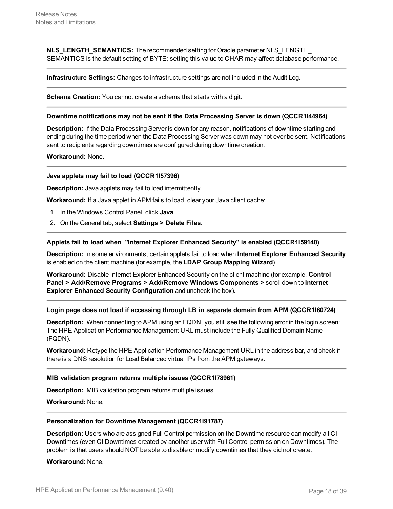**NLS\_LENGTH\_SEMANTICS:** The recommended setting for Oracle parameter NLS\_LENGTH SEMANTICS is the default setting of BYTE; setting this value to CHAR may affect database performance.

**Infrastructure Settings:** Changes to infrastructure settings are not included in the Audit Log.

**Schema Creation:** You cannot create a schema that starts with a digit.

#### **Downtime notifications may not be sent if the Data Processing Server is down (QCCR1I44964)**

**Description:** If the Data Processing Server is down for any reason, notifications of downtime starting and ending during the time period when the Data Processing Server was down may not ever be sent. Notifications sent to recipients regarding downtimes are configured during downtime creation.

**Workaround:** None.

#### **Java applets may fail to load (QCCR1I57396)**

**Description:** Java applets may fail to load intermittently.

**Workaround:** If a Java applet in APM fails to load, clear your Java client cache:

- 1. In the Windows Control Panel, click **Java**.
- 2. On the General tab, select **Settings > Delete Files**.

#### **Applets fail to load when "Internet Explorer Enhanced Security" is enabled (QCCR1I59140)**

**Description:** In some environments, certain applets fail to load when **Internet Explorer Enhanced Security** is enabled on the client machine (for example, the **LDAP Group Mapping Wizard**).

**Workaround:** Disable Internet Explorer Enhanced Security on the client machine (for example, **Control Panel > Add/Remove Programs > Add/Remove Windows Components >** scroll down to **Internet Explorer Enhanced Security Configuration** and uncheck the box).

#### **Login page does not load if accessing through LB in separate domain from APM (QCCR1I60724)**

**Description:** When connecting to APM using an FQDN, you still see the following error in the login screen: The HPE Application Performance Management URL must include the Fully Qualified Domain Name (FQDN).

**Workaround:** Retype the HPE Application Performance Management URL in the address bar, and check if there is a DNS resolution for Load Balanced virtual IPs from the APM gateways.

#### **MIB validation program returns multiple issues (QCCR1I78961)**

**Description:** MIB validation program returns multiple issues.

**Workaround:** None.

#### **Personalization for Downtime Management (QCCR1I91787)**

**Description:** Users who are assigned Full Control permission on the Downtime resource can modify all CI Downtimes (even CI Downtimes created by another user with Full Control permission on Downtimes). The problem is that users should NOT be able to disable or modify downtimes that they did not create.

**Workaround:** None.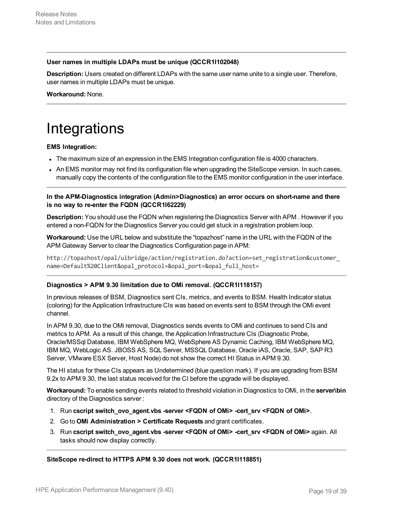### **User names in multiple LDAPs must be unique (QCCR1I102048)**

**Description:** Users created on different LDAPs with the same user name unite to a single user. Therefore, user names in multiple LDAPs must be unique.

<span id="page-18-0"></span>**Workaround:** None.

# **Integrations**

### **EMS Integration:**

- The maximum size of an expression in the EMS Integration configuration file is 4000 characters.
- An EMS monitor may not find its configuration file when upgrading the SiteScope version. In such cases, manually copy the contents of the configuration file to the EMS monitor configuration in the user interface.

**In the APM-Diagnostics integration (Admin>Diagnostics) an error occurs on short-name and there is no way to re-enter the FQDN (QCCR1I62229)**

**Description:** You should use the FQDN when registering the Diagnostics Server with APM . However if you entered a non-FQDN for the Diagnostics Server you could get stuck in a registration problem loop.

**Workaround:** Use the URL below and substitute the "topazhost" name in the URL with the FQDN of the APM Gateway Server to clear the Diagnostics Configuration page in APM:

http://topazhost/opal/uibridge/action/registration.do?action=set\_registration&customer\_ name=Default%20Client&opal\_protocol=&opal\_port=&opal\_full\_host=

### **Diagnostics > APM 9.30 limitation due to OMi removal. (QCCR1I118157)**

In previous releases of BSM, Diagnostics sent CIs, metrics, and events to BSM. Health Indicator status (coloring) for the Application Infrastructure CIs was based on events sent to BSM through the OMi event channel.

In APM 9.30, due to the OMi removal, Diagnostics sends events to OMi and continues to send CIs and metrics to APM. As a result of this change, the Application Infrastructure CIs (Diagnostic Probe, Oracle/MSSql Database, IBM WebSphere MQ, WebSphere AS Dynamic Caching, IBM WebSphere MQ, IBM MQ, WebLogic AS. JBOSS AS, SQL Server, MSSQL Database, Oracle iAS, Oracle, SAP, SAP R3 Server, VMware ESX Server, Host Node) do not show the correct HI Status in APM 9.30.

The HI status for these CIs appears as Undetermined (blue question mark). If you are upgrading from BSM 9.2x to APM 9.30, the last status received for the CI before the upgrade will be displayed.

**Workaround:** To enable sending events related to threshold violation in Diagnostics to OMi, in the **server\bin** directory of the Diagnostics server :

- 1. Run **cscript switch\_ovo\_agent.vbs -server <FQDN of OMi> -cert\_srv <FQDN of OMi>**.
- 2. Go to **OMi Administration > Certificate Requests** and grant certificates.
- 3. Run **cscript switch\_ovo\_agent.vbs -server <FQDN of OMi> -cert\_srv <FQDN of OMi>** again. All tasks should now display correctly.

**SiteScope re-direct to HTTPS APM 9.30 does not work. (QCCR1I118851)**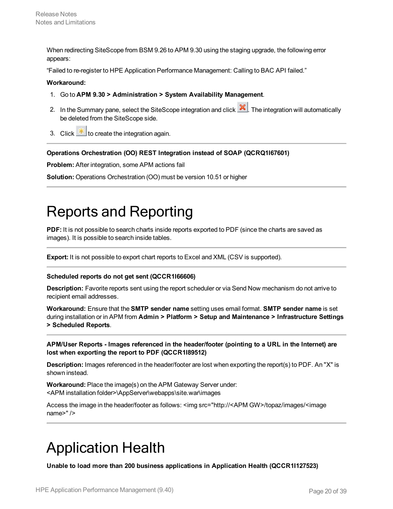When redirecting SiteScope from BSM 9.26 to APM 9.30 using the staging upgrade, the following error appears:

"Failed to re-register to HPE Application Performance Management: Calling to BAC API failed."

#### **Workaround:**

- 1. Go to **APM 9.30 > Administration > System Availability Management**.
- 2. In the Summary pane, select the SiteScope integration and click **X**. The integration will automatically be deleted from the SiteScope side.
- 3. Click  $\frac{*}{\cdot}$  to create the integration again.

#### **Operations Orchestration (OO) REST Integration instead of SOAP (QCRQ1I67601)**

**Problem:** After integration, some APM actions fail

<span id="page-19-0"></span>**Solution:** Operations Orchestration (OO) must be version 10.51 or higher

## Reports and Reporting

**PDF:** It is not possible to search charts inside reports exported to PDF (since the charts are saved as images). It is possible to search inside tables.

**Export:** It is not possible to export chart reports to Excel and XML (CSV is supported).

#### **Scheduled reports do not get sent (QCCR1I66606)**

**Description:** Favorite reports sent using the report scheduler or via Send Now mechanism do not arrive to recipient email addresses.

**Workaround:** Ensure that the **SMTP sender name** setting uses email format. **SMTP sender name** is set during installation or in APM from **Admin > Platform > Setup and Maintenance > Infrastructure Settings > Scheduled Reports**.

**APM/User Reports - Images referenced in the header/footer (pointing to a URL in the Internet) are lost when exporting the report to PDF (QCCR1I89512)**

**Description:** Images referenced in the header/footer are lost when exporting the report(s) to PDF. An "X" is shown instead.

**Workaround:** Place the image(s) on the APM Gateway Server under: <APM installation folder>\AppServer\webapps\site.war\images

Access the image in the header/footer as follows: <img src="http://<APM GW>/topaz/images/<image name>" />

## <span id="page-19-1"></span>Application Health

**Unable to load more than 200 business applications in Application Health (QCCR1I127523)**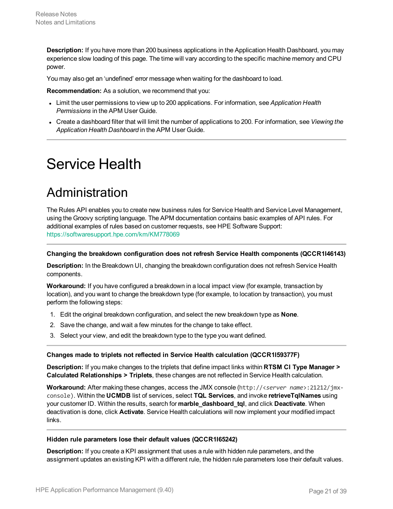**Description:** If you have more than 200 business applications in the Application Health Dashboard, you may experience slow loading of this page. The time will vary according to the specific machine memory and CPU power.

You may also get an 'undefined' error message when waiting for the dashboard to load.

**Recommendation:** As a solution, we recommend that you:

- <sup>l</sup> Limit the user permissions to view up to 200 applications. For information, see *Application Health Permissions* in the APM User Guide.
- <sup>l</sup> Create a dashboard filter that will limit the number of applications to 200. For information, see *Viewing the Application Health Dashboard* in the APM User Guide.

# <span id="page-20-1"></span><span id="page-20-0"></span>Service Health

### Administration

The Rules API enables you to create new business rules for Service Health and Service Level Management, using the Groovy scripting language. The APM documentation contains basic examples of API rules. For additional examples of rules based on customer requests, see HPE Software Support: <https://softwaresupport.hpe.com/km/KM778069>

#### **Changing the breakdown configuration does not refresh Service Health components (QCCR1I46143)**

**Description:** In the Breakdown UI, changing the breakdown configuration does not refresh Service Health components.

**Workaround:** If you have configured a breakdown in a local impact view (for example, transaction by location), and you want to change the breakdown type (for example, to location by transaction), you must perform the following steps:

- 1. Edit the original breakdown configuration, and select the new breakdown type as **None**.
- 2. Save the change, and wait a few minutes for the change to take effect.
- 3. Select your view, and edit the breakdown type to the type you want defined.

#### **Changes made to triplets not reflected in Service Health calculation (QCCR1I59377F)**

**Description:** If you make changes to the triplets that define impact links within **RTSM CI Type Manager > Calculated Relationships > Triplets**, these changes are not reflected in Service Health calculation.

**Workaround:** After making these changes, access the JMX console (http://<*server name*>:21212/jmxconsole). Within the **UCMDB** list of services, select **TQL Services**, and invoke **retrieveTqlNames** using your customer ID. Within the results, search for **marble\_dashboard\_tql**, and click **Deactivate**. When deactivation is done, click **Activate**. Service Health calculations will now implement your modified impact links.

#### **Hidden rule parameters lose their default values (QCCR1I65242)**

**Description:** If you create a KPI assignment that uses a rule with hidden rule parameters, and the assignment updates an existing KPI with a different rule, the hidden rule parameters lose their default values.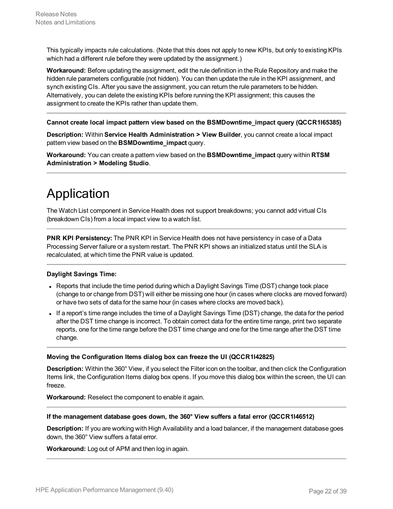This typically impacts rule calculations. (Note that this does not apply to new KPIs, but only to existing KPIs which had a different rule before they were updated by the assignment.)

**Workaround:** Before updating the assignment, edit the rule definition in the Rule Repository and make the hidden rule parameters configurable (not hidden). You can then update the rule in the KPI assignment, and synch existing CIs. After you save the assignment, you can return the rule parameters to be hidden. Alternatively, you can delete the existing KPIs before running the KPI assignment; this causes the assignment to create the KPIs rather than update them.

#### **Cannot create local impact pattern view based on the BSMDowntime\_impact query (QCCR1I65385)**

**Description:** Within **Service Health Administration > View Builder**, you cannot create a local impact pattern view based on the **BSMDowntime\_impact** query.

**Workaround:** You can create a pattern view based on the **BSMDowntime\_impact** query within **RTSM Administration > Modeling Studio**.

### <span id="page-21-0"></span>Application

The Watch List component in Service Health does not support breakdowns; you cannot add virtual CIs (breakdown CIs) from a local impact view to a watch list.

**PNR KPI Persistency:** The PNR KPI in Service Health does not have persistency in case of a Data Processing Server failure or a system restart. The PNR KPI shows an initialized status until the SLA is recalculated, at which time the PNR value is updated.

#### **Daylight Savings Time:**

- Reports that include the time period during which a Daylight Savings Time (DST) change took place (change to or change from DST) will either be missing one hour (in cases where clocks are moved forward) or have two sets of data for the same hour (in cases where clocks are moved back).
- If a report's time range includes the time of a Daylight Savings Time (DST) change, the data for the period after the DST time change is incorrect. To obtain correct data for the entire time range, print two separate reports, one for the time range before the DST time change and one for the time range after the DST time change.

#### **Moving the Configuration Items dialog box can freeze the UI (QCCR1I42825)**

**Description:** Within the 360° View, if you select the Filter icon on the toolbar, and then click the Configuration Items link, the Configuration Items dialog box opens. If you move this dialog box within the screen, the UI can freeze.

**Workaround:** Reselect the component to enable it again.

#### **If the management database goes down, the 360° View suffers a fatal error (QCCR1I46512)**

**Description:** If you are working with High Availability and a load balancer, if the management database goes down, the 360° View suffers a fatal error.

**Workaround:** Log out of APM and then log in again.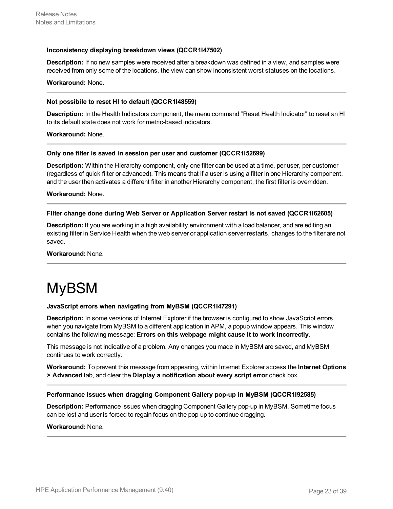#### **Inconsistency displaying breakdown views (QCCR1I47502)**

**Description:** If no new samples were received after a breakdown was defined in a view, and samples were received from only some of the locations, the view can show inconsistent worst statuses on the locations.

#### **Workaround:** None.

#### **Not possibile to reset HI to default (QCCR1I48559)**

**Description:** In the Health Indicators component, the menu command "Reset Health Indicator" to reset an HI to its default state does not work for metric-based indicators.

**Workaround:** None.

#### **Only one filter is saved in session per user and customer (QCCR1I52699)**

**Description:** Within the Hierarchy component, only one filter can be used at a time, per user, per customer (regardless of quick filter or advanced). This means that if a user is using a filter in one Hierarchy component, and the user then activates a different filter in another Hierarchy component, the first filter is overridden.

**Workaround:** None.

#### **Filter change done during Web Server or Application Server restart is not saved (QCCR1I62605)**

**Description:** If you are working in a high availability environment with a load balancer, and are editing an existing filter in Service Health when the web server or application server restarts, changes to the filter are not saved.

<span id="page-22-0"></span>**Workaround:** None.

# MyBSM

#### **JavaScript errors when navigating from MyBSM (QCCR1I47291)**

**Description:** In some versions of Internet Explorer if the browser is configured to show JavaScript errors, when you navigate from MyBSM to a different application in APM, a popup window appears. This window contains the following message: **Errors on this webpage might cause it to work incorrectly**.

This message is not indicative of a problem. Any changes you made in MyBSM are saved, and MyBSM continues to work correctly.

**Workaround:** To prevent this message from appearing, within Internet Explorer access the **Internet Options > Advanced** tab, and clear the **Display a notification about every script error** check box.

#### **Performance issues when dragging Component Gallery pop-up in MyBSM (QCCR1I92585)**

**Description:** Performance issues when dragging Component Gallery pop-up in MyBSM. Sometime focus can be lost and user is forced to regain focus on the pop-up to continue dragging.

#### **Workaround:** None.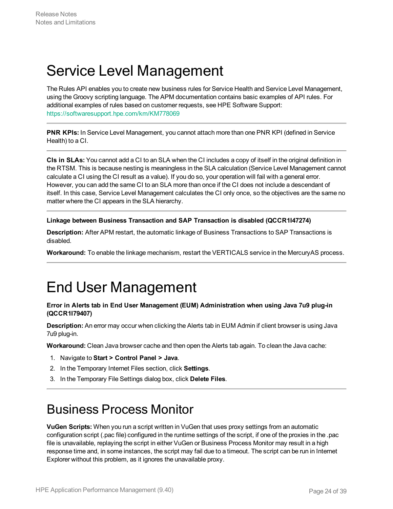# <span id="page-23-0"></span>Service Level Management

The Rules API enables you to create new business rules for Service Health and Service Level Management, using the Groovy scripting language. The APM documentation contains basic examples of API rules. For additional examples of rules based on customer requests, see HPE Software Support: <https://softwaresupport.hpe.com/km/KM778069>

**PNR KPIs:** In Service Level Management, you cannot attach more than one PNR KPI (defined in Service Health) to a CI.

**CIs in SLAs:** You cannot add a CI to an SLA when the CI includes a copy of itself in the original definition in the RTSM. This is because nesting is meaningless in the SLA calculation (Service Level Management cannot calculate a CI using the CI result as a value). If you do so, your operation will fail with a general error. However, you can add the same CI to an SLA more than once if the CI does not include a descendant of itself. In this case, Service Level Management calculates the CI only once, so the objectives are the same no matter where the CI appears in the SLA hierarchy.

### **Linkage between Business Transaction and SAP Transaction is disabled (QCCR1I47274)**

**Description:** After APM restart, the automatic linkage of Business Transactions to SAP Transactions is disabled.

<span id="page-23-1"></span>**Workaround:** To enable the linkage mechanism, restart the VERTICALS service in the MercuryAS process.

## End User Management

### **Error in Alerts tab in End User Management (EUM) Administration when using Java 7u9 plug-in (QCCR1I79407)**

**Description:** An error may occur when clicking the Alerts tab in EUM Admin if client browser is using Java 7u9 plug-in.

**Workaround:** Clean Java browser cache and then open the Alerts tab again. To clean the Java cache:

- 1. Navigate to **Start > Control Panel > Java**.
- 2. In the Temporary Internet Files section, click **Settings**.
- <span id="page-23-2"></span>3. In the Temporary File Settings dialog box, click **Delete Files**.

### Business Process Monitor

**VuGen Scripts:** When you run a script written in VuGen that uses proxy settings from an automatic configuration script (.pac file) configured in the runtime settings of the script, if one of the proxies in the .pac file is unavailable, replaying the script in either VuGen or Business Process Monitor may result in a high response time and, in some instances, the script may fail due to a timeout. The script can be run in Internet Explorer without this problem, as it ignores the unavailable proxy.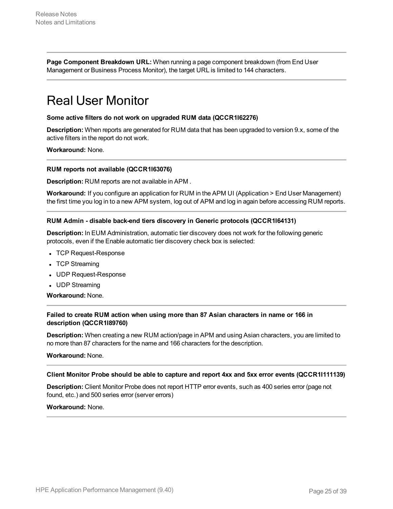**Page Component Breakdown URL:** When running a page component breakdown (from End User Management or Business Process Monitor), the target URL is limited to 144 characters.

### <span id="page-24-0"></span>Real User Monitor

#### **Some active filters do not work on upgraded RUM data (QCCR1I62276)**

**Description:** When reports are generated for RUM data that has been upgraded to version 9.x, some of the active filters in the report do not work.

**Workaround:** None.

#### **RUM reports not available (QCCR1I63076)**

**Description:** RUM reports are not available in APM .

**Workaround:** If you configure an application for RUM in the APM UI (Application > End User Management) the first time you log in to a new APM system, log out of APM and log in again before accessing RUM reports.

#### **RUM Admin - disable back-end tiers discovery in Generic protocols (QCCR1I64131)**

**Description:** In EUM Administration, automatic tier discovery does not work for the following generic protocols, even if the Enable automatic tier discovery check box is selected:

- TCP Request-Response
- TCP Streaming
- UDP Request-Response
- UDP Streaming

**Workaround:** None.

### **Failed to create RUM action when using more than 87 Asian characters in name or 166 in description (QCCR1I89760)**

**Description:** When creating a new RUM action/page in APM and using Asian characters, you are limited to no more than 87 characters for the name and 166 characters for the description.

**Workaround:** None.

#### **Client Monitor Probe should be able to capture and report 4xx and 5xx error events (QCCR1I111139)**

**Description:** Client Monitor Probe does not report HTTP error events, such as 400 series error (page not found, etc.) and 500 series error (server errors)

#### **Workaround:** None.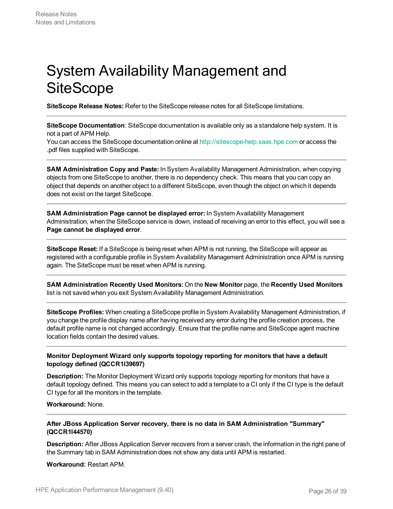# <span id="page-25-0"></span>System Availability Management and **SiteScope**

**SiteScope Release Notes:** Refer to the SiteScope release notes for all SiteScope limitations.

**SiteScope Documentation**: SiteScope documentation is available only as a standalone help system. It is not a part of APM Help.

You can access the SiteScope documentation online at [http://sitescope-help.saas.hpe.com](http://sitescope-help.saas.hpe.com/) or access the .pdf files supplied with SiteScope.

**SAM Administration Copy and Paste:** In System Availability Management Administration, when copying objects from one SiteScope to another, there is no dependency check. This means that you can copy an object that depends on another object to a different SiteScope, even though the object on which it depends does not exist on the target SiteScope.

**SAM Administration Page cannot be displayed error:** In System Availability Management Administration, when the SiteScope service is down, instead of receiving an error to this effect, you will see a **Page cannot be displayed error**.

**SiteScope Reset:** If a SiteScope is being reset when APM is not running, the SiteScope will appear as registered with a configurable profile in System Availability Management Administration once APM is running again. The SiteScope must be reset when APM is running.

**SAM Administration Recently Used Monitors:** On the **New Monitor** page, the **Recently Used Monitors** list is not saved when you exit System Availability Management Administration.

**SiteScope Profiles:** When creating a SiteScope profile in System Availability Management Administration, if you change the profile display name after having received any error during the profile creation process, the default profile name is not changed accordingly. Ensure that the profile name and SiteScope agent machine location fields contain the desired values.

### **Monitor Deployment Wizard only supports topology reporting for monitors that have a default topology defined (QCCR1I39697)**

**Description:** The Monitor Deployment Wizard only supports topology reporting for monitors that have a default topology defined. This means you can select to add a template to a CI only if the CI type is the default CI type for all the monitors in the template.

**Workaround:** None.

#### **After JBoss Application Server recovery, there is no data in SAM Administration "Summary" (QCCR1I44570)**

**Description:** After JBoss Application Server recovers from a server crash, the information in the right pane of the Summary tab in SAM Administration does not show any data until APM is restarted.

**Workaround:** Restart APM.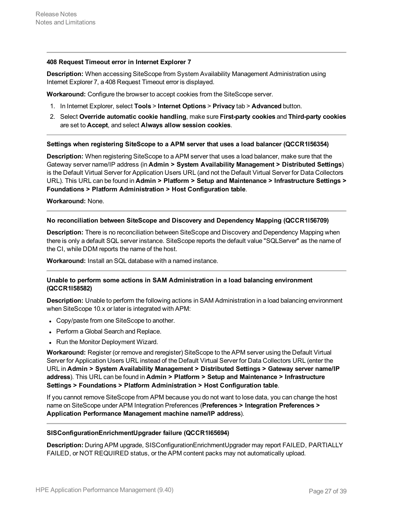#### **408 Request Timeout error in Internet Explorer 7**

**Description:** When accessing SiteScope from System Availability Management Administration using Internet Explorer 7, a 408 Request Timeout error is displayed.

**Workaround:** Configure the browser to accept cookies from the SiteScope server.

- 1. In Internet Explorer, select **Tools** > **Internet Options** > **Privacy** tab > **Advanced** button.
- 2. Select **Override automatic cookie handling**, make sure **First-party cookies** and **Third-party cookies** are set to **Accept**, and select **Always allow session cookies**.

#### **Settings when registering SiteScope to a APM server that uses a load balancer (QCCR1I56354)**

**Description:** When registering SiteScope to a APM server that uses a load balancer, make sure that the Gateway server name/IP address (in **Admin > System Availability Management > Distributed Settings**) is the Default Virtual Server for Application Users URL (and not the Default Virtual Server for Data Collectors URL). This URL can be found in **Admin > Platform > Setup and Maintenance > Infrastructure Settings > Foundations > Platform Administration > Host Configuration table**.

**Workaround:** None.

#### **No reconciliation between SiteScope and Discovery and Dependency Mapping (QCCR1I56709)**

**Description:** There is no reconciliation between SiteScope and Discovery and Dependency Mapping when there is only a default SQL server instance. SiteScope reports the default value "SQLServer" as the name of the CI, while DDM reports the name of the host.

**Workaround:** Install an SQL database with a named instance.

#### **Unable to perform some actions in SAM Administration in a load balancing environment (QCCR1I58582)**

**Description:** Unable to perform the following actions in SAM Administration in a load balancing environment when SiteScope 10.x or later is integrated with APM:

- Copy/paste from one SiteScope to another.
- Perform a Global Search and Replace.
- Run the Monitor Deployment Wizard.

**Workaround:** Register (or remove and reregister) SiteScope to the APM server using the Default Virtual Server for Application Users URL instead of the Default Virtual Server for Data Collectors URL (enter the URL in **Admin > System Availability Management > Distributed Settings > Gateway server name/IP address**). This URL can be found in **Admin > Platform > Setup and Maintenance > Infrastructure Settings > Foundations > Platform Administration > Host Configuration table**.

If you cannot remove SiteScope from APM because you do not want to lose data, you can change the host name on SiteScope under APM Integration Preferences (**Preferences > Integration Preferences > Application Performance Management machine name/IP address**).

#### **SISConfigurationEnrichmentUpgrader failure (QCCR1I65694)**

**Description:** During APM upgrade, SISConfigurationEnrichmentUpgrader may report FAILED, PARTIALLY FAILED, or NOT REQUIRED status, or the APM content packs may not automatically upload.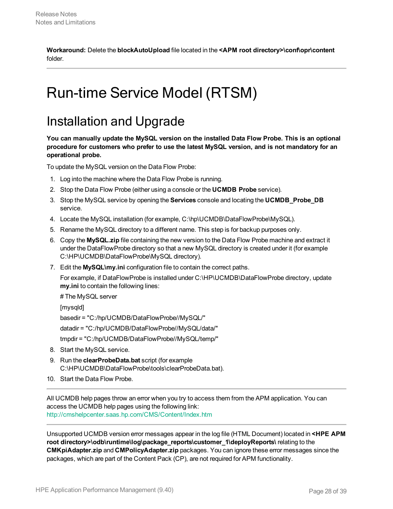**Workaround:** Delete the **blockAutoUpload** file located in the **<APM root directory>\conf\opr\content** folder.

# <span id="page-27-1"></span><span id="page-27-0"></span>Run-time Service Model (RTSM)

### Installation and Upgrade

**You can manually update the MySQL version on the installed Data Flow Probe. This is an optional procedure for customers who prefer to use the latest MySQL version, and is not mandatory for an operational probe.**

To update the MySQL version on the Data Flow Probe:

- 1. Log into the machine where the Data Flow Probe is running.
- 2. Stop the Data Flow Probe (either using a console or the **UCMDB Probe** service).
- 3. Stop the MySQL service by opening the **Services** console and locating the **UCMDB\_Probe\_DB** service.
- 4. Locate the MySQL installation (for example, C:\hp\UCMDB\DataFlowProbe\MySQL).
- 5. Rename the MySQL directory to a different name. This step is for backup purposes only.
- 6. Copy the **MySQL.zip** file containing the new version to the Data Flow Probe machine and extract it under the DataFlowProbe directory so that a new MySQL directory is created under it (for example C:\HP\UCMDB\DataFlowProbe\MySQL directory).
- 7. Edit the **MySQL\my.ini** configuration file to contain the correct paths.

For example, if DataFlowProbe is installed under C:\HP\UCMDB\DataFlowProbe directory, update **my.ini** to contain the following lines:

# The MySQL server

[mysqld]

basedir = "C:/hp/UCMDB/DataFlowProbe//MySQL/"

datadir = "C:/hp/UCMDB/DataFlowProbe//MySQL/data/"

tmpdir = "C:/hp/UCMDB/DataFlowProbe//MySQL/temp/"

- 8. Start the MySQL service.
- 9. Run the **clearProbeData.bat** script (for example C:\HP\UCMDB\DataFlowProbe\tools\clearProbeData.bat).
- 10. Start the Data Flow Probe.

All UCMDB help pages throw an error when you try to access them from the APM application. You can access the UCMDB help pages using the following link: <http://cmshelpcenter.saas.hp.com/CMS/Content/Index.htm>

Unsupported UCMDB version error messages appear in the log file (HTML Document) located in **<HPE APM root directory>\odb\runtime\log\package\_reports\customer\_1\deployReports\** relating to the **CMKpiAdapter.zip** and **CMPolicyAdapter.zip** packages. You can ignore these error messages since the packages, which are part of the Content Pack (CP), are not required for APM functionality.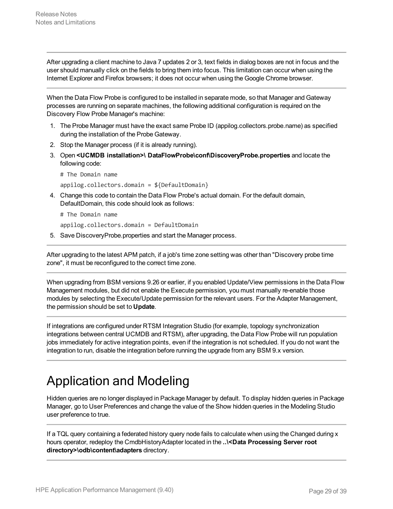After upgrading a client machine to Java 7 updates 2 or 3, text fields in dialog boxes are not in focus and the user should manually click on the fields to bring them into focus. This limitation can occur when using the Internet Explorer and Firefox browsers; it does not occur when using the Google Chrome browser.

When the Data Flow Probe is configured to be installed in separate mode, so that Manager and Gateway processes are running on separate machines, the following additional configuration is required on the Discovery Flow Probe Manager's machine:

- 1. The Probe Manager must have the exact same Probe ID (appilog.collectors.probe.name) as specified during the installation of the Probe Gateway.
- 2. Stop the Manager process (if it is already running).
- 3. Open **<UCMDB installation>\ DataFlowProbe\conf\DiscoveryProbe.properties** and locate the following code:

# The Domain name

appilog.collectors.domain = \${DefaultDomain}

4. Change this code to contain the Data Flow Probe's actual domain. For the default domain, DefaultDomain, this code should look as follows:

# The Domain name

appilog.collectors.domain = DefaultDomain

5. Save DiscoveryProbe.properties and start the Manager process.

After upgrading to the latest APM patch, if a job's time zone setting was other than "Discovery probe time zone", it must be reconfigured to the correct time zone.

When upgrading from BSM versions 9.26 or earlier, if you enabled Update/View permissions in the Data Flow Management modules, but did not enable the Execute permission, you must manually re-enable those modules by selecting the Execute/Update permission for the relevant users. For the Adapter Management, the permission should be set to **Update**.

If integrations are configured under RTSM Integration Studio (for example, topology synchronization integrations between central UCMDB and RTSM), after upgrading, the Data Flow Probe will run population jobs immediately for active integration points, even if the integration is not scheduled. If you do not want the integration to run, disable the integration before running the upgrade from any BSM 9.x version.

## <span id="page-28-0"></span>Application and Modeling

Hidden queries are no longer displayed in Package Manager by default. To display hidden queries in Package Manager, go to User Preferences and change the value of the Show hidden queries in the Modeling Studio user preference to true.

If a TQL query containing a federated history query node fails to calculate when using the Changed during x hours operator, redeploy the CmdbHistoryAdapter located in the **..\<Data Processing Server root directory>\odb\content\adapters** directory.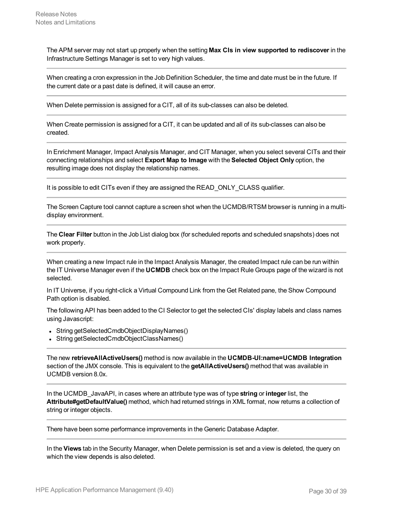The APM server may not start up properly when the setting **Max CIs in view supported to rediscover** in the Infrastructure Settings Manager is set to very high values.

When creating a cron expression in the Job Definition Scheduler, the time and date must be in the future. If the current date or a past date is defined, it will cause an error.

When Delete permission is assigned for a CIT, all of its sub-classes can also be deleted.

When Create permission is assigned for a CIT, it can be updated and all of its sub-classes can also be created.

In Enrichment Manager, Impact Analysis Manager, and CIT Manager, when you select several CITs and their connecting relationships and select **Export Map to Image** with the **Selected Object Only** option, the resulting image does not display the relationship names.

It is possible to edit CITs even if they are assigned the READ\_ONLY\_CLASS qualifier.

The Screen Capture tool cannot capture a screen shot when the UCMDB/RTSM browser is running in a multidisplay environment.

The **Clear Filter** button in the Job List dialog box (for scheduled reports and scheduled snapshots) does not work properly.

When creating a new Impact rule in the Impact Analysis Manager, the created Impact rule can be run within the IT Universe Manager even if the **UCMDB** check box on the Impact Rule Groups page of the wizard is not selected.

In IT Universe, if you right-click a Virtual Compound Link from the Get Related pane, the Show Compound Path option is disabled.

The following API has been added to the CI Selector to get the selected CIs' display labels and class names using Javascript:

- String getSelectedCmdbObjectDisplayNames()
- String getSelectedCmdbObjectClassNames()

The new **retrieveAllActiveUsers()** method is now available in the **UCMDB-UI:name=UCMDB Integration** section of the JMX console. This is equivalent to the **getAllActiveUsers()** method that was available in UCMDB version 8.0x.

In the UCMDB\_JavaAPI, in cases where an attribute type was of type **string** or **integer** list, the **Attribute#getDefaultValue()** method, which had returned strings in XML format, now returns a collection of string or integer objects.

There have been some performance improvements in the Generic Database Adapter.

In the **Views** tab in the Security Manager, when Delete permission is set and a view is deleted, the query on which the view depends is also deleted.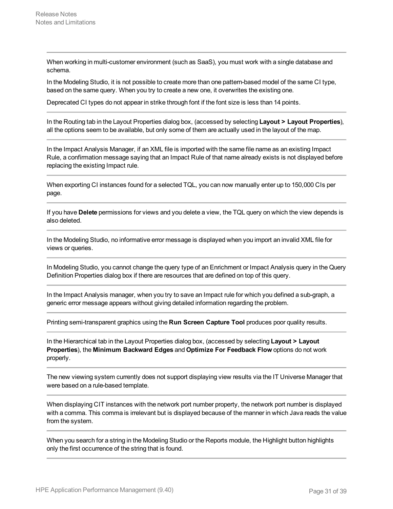When working in multi-customer environment (such as SaaS), you must work with a single database and schema.

In the Modeling Studio, it is not possible to create more than one pattern-based model of the same CI type, based on the same query. When you try to create a new one, it overwrites the existing one.

Deprecated CI types do not appear in strike through font if the font size is less than 14 points.

In the Routing tab in the Layout Properties dialog box, (accessed by selecting **Layout > Layout Properties**), all the options seem to be available, but only some of them are actually used in the layout of the map.

In the Impact Analysis Manager, if an XML file is imported with the same file name as an existing Impact Rule, a confirmation message saying that an Impact Rule of that name already exists is not displayed before replacing the existing Impact rule.

When exporting CI instances found for a selected TQL, you can now manually enter up to 150,000 CIs per page.

If you have **Delete** permissions for views and you delete a view, the TQL query on which the view depends is also deleted.

In the Modeling Studio, no informative error message is displayed when you import an invalid XML file for views or queries.

In Modeling Studio, you cannot change the query type of an Enrichment or Impact Analysis query in the Query Definition Properties dialog box if there are resources that are defined on top of this query.

In the Impact Analysis manager, when you try to save an Impact rule for which you defined a sub-graph, a generic error message appears without giving detailed information regarding the problem.

Printing semi-transparent graphics using the **Run Screen Capture Tool** produces poor quality results.

In the Hierarchical tab in the Layout Properties dialog box, (accessed by selecting **Layout > Layout Properties**), the **Minimum Backward Edges** and **Optimize For Feedback Flow** options do not work properly.

The new viewing system currently does not support displaying view results via the IT Universe Manager that were based on a rule-based template.

When displaying CIT instances with the network port number property, the network port number is displayed with a comma. This comma is irrelevant but is displayed because of the manner in which Java reads the value from the system.

When you search for a string in the Modeling Studio or the Reports module, the Highlight button highlights only the first occurrence of the string that is found.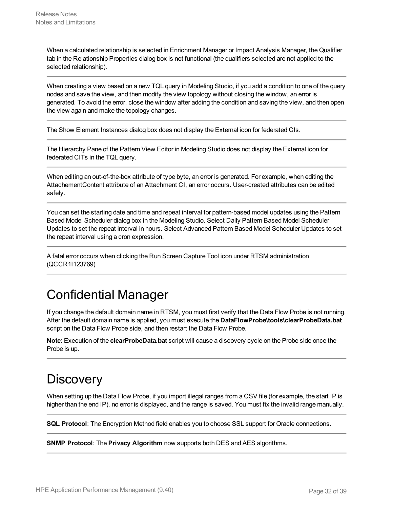When a calculated relationship is selected in Enrichment Manager or Impact Analysis Manager, the Qualifier tab in the Relationship Properties dialog box is not functional (the qualifiers selected are not applied to the selected relationship).

When creating a view based on a new TQL query in Modeling Studio, if you add a condition to one of the query nodes and save the view, and then modify the view topology without closing the window, an error is generated. To avoid the error, close the window after adding the condition and saving the view, and then open the view again and make the topology changes.

The Show Element Instances dialog box does not display the External icon for federated CIs.

The Hierarchy Pane of the Pattern View Editor in Modeling Studio does not display the External icon for federated CITs in the TQL query.

When editing an out-of-the-box attribute of type byte, an error is generated. For example, when editing the AttachementContent attribute of an Attachment CI, an error occurs. User-created attributes can be edited safely.

You can set the starting date and time and repeat interval for pattern-based model updates using the Pattern Based Model Scheduler dialog box in the Modeling Studio. Select Daily Pattern Based Model Scheduler Updates to set the repeat interval in hours. Select Advanced Pattern Based Model Scheduler Updates to set the repeat interval using a cron expression.

A fatal error occurs when clicking the Run Screen Capture Tool icon under RTSM administration (QCCR1I123769)

## <span id="page-31-0"></span>Confidential Manager

If you change the default domain name in RTSM, you must first verify that the Data Flow Probe is not running. After the default domain name is applied, you must execute the **DataFlowProbe\tools\clearProbeData.bat** script on the Data Flow Probe side, and then restart the Data Flow Probe.

**Note:** Execution of the **clearProbeData.bat** script will cause a discovery cycle on the Probe side once the Probe is up.

## <span id="page-31-1"></span>**Discovery**

When setting up the Data Flow Probe, if you import illegal ranges from a CSV file (for example, the start IP is higher than the end IP), no error is displayed, and the range is saved. You must fix the invalid range manually.

**SQL Protocol**: The Encryption Method field enables you to choose SSL support for Oracle connections.

**SNMP Protocol**: The **Privacy Algorithm** now supports both DES and AES algorithms.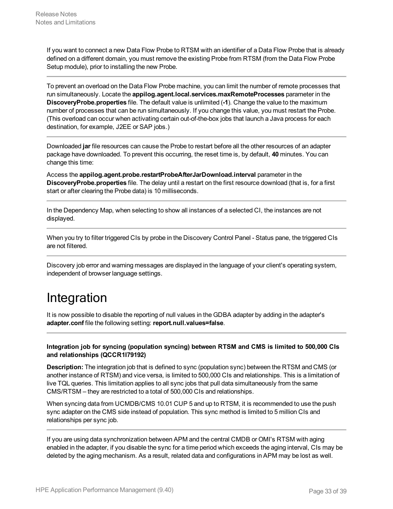If you want to connect a new Data Flow Probe to RTSM with an identifier of a Data Flow Probe that is already defined on a different domain, you must remove the existing Probe from RTSM (from the Data Flow Probe Setup module), prior to installing the new Probe.

To prevent an overload on the Data Flow Probe machine, you can limit the number of remote processes that run simultaneously. Locate the **appilog.agent.local.services.maxRemoteProcesses** parameter in the **DiscoveryProbe.properties** file. The default value is unlimited (**-1**). Change the value to the maximum number of processes that can be run simultaneously. If you change this value, you must restart the Probe. (This overload can occur when activating certain out-of-the-box jobs that launch a Java process for each destination, for example, J2EE or SAP jobs.)

Downloaded **jar** file resources can cause the Probe to restart before all the other resources of an adapter package have downloaded. To prevent this occurring, the reset time is, by default, **40** minutes. You can change this time:

Access the **appilog.agent.probe.restartProbeAfterJarDownload.interval** parameter in the **DiscoveryProbe.properties** file. The delay until a restart on the first resource download (that is, for a first start or after clearing the Probe data) is 10 milliseconds.

In the Dependency Map, when selecting to show all instances of a selected CI, the instances are not displayed.

When you try to filter triggered CIs by probe in the Discovery Control Panel - Status pane, the triggered CIs are not filtered.

<span id="page-32-0"></span>Discovery job error and warning messages are displayed in the language of your client's operating system, independent of browser language settings.

## Integration

It is now possible to disable the reporting of null values in the GDBA adapter by adding in the adapter's **adapter.conf** file the following setting: **report.null.values=false**.

### **Integration job for syncing (population syncing) between RTSM and CMS is limited to 500,000 CIs and relationships (QCCR1I79192)**

**Description:** The integration job that is defined to sync (population sync) between the RTSM and CMS (or another instance of RTSM) and vice versa, is limited to 500,000 CIs and relationships. This is a limitation of live TQL queries. This limitation applies to all sync jobs that pull data simultaneously from the same CMS/RTSM – they are restricted to a total of 500,000 CIs and relationships.

When syncing data from UCMDB/CMS 10.01 CUP 5 and up to RTSM, it is recommended to use the push sync adapter on the CMS side instead of population. This sync method is limited to 5 million CIs and relationships per sync job.

If you are using data synchronization between APM and the central CMDB or OMI's RTSM with aging enabled in the adapter, if you disable the sync for a time period which exceeds the aging interval, CIs may be deleted by the aging mechanism. As a result, related data and configurations in APM may be lost as well.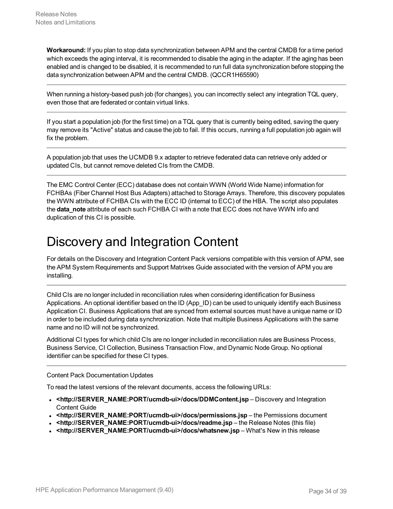**Workaround:** If you plan to stop data synchronization between APM and the central CMDB for a time period which exceeds the aging interval, it is recommended to disable the aging in the adapter. If the aging has been enabled and is changed to be disabled, it is recommended to run full data synchronization before stopping the data synchronization between APM and the central CMDB. (QCCR1H65590)

When running a history-based push job (for changes), you can incorrectly select any integration TQL query, even those that are federated or contain virtual links.

If you start a population job (for the first time) on a TQL query that is currently being edited, saving the query may remove its "Active" status and cause the job to fail. If this occurs, running a full population job again will fix the problem.

A population job that uses the UCMDB 9.x adapter to retrieve federated data can retrieve only added or updated CIs, but cannot remove deleted CIs from the CMDB.

The EMC Control Center (ECC) database does not contain WWN (World Wide Name) information for FCHBAs (Fiber Channel Host Bus Adapters) attached to Storage Arrays. Therefore, this discovery populates the WWN attribute of FCHBA CIs with the ECC ID (internal to ECC) of the HBA. The script also populates the **data note** attribute of each such FCHBA CI with a note that ECC does not have WWN info and duplication of this CI is possible.

### <span id="page-33-0"></span>Discovery and Integration Content

For details on the Discovery and Integration Content Pack versions compatible with this version of APM, see the APM System Requirements and Support Matrixes Guide associated with the version of APM you are installing.

Child CIs are no longer included in reconciliation rules when considering identification for Business Applications. An optional identifier based on the ID (App\_ID) can be used to uniquely identify each Business Application CI. Business Applications that are synced from external sources must have a unique name or ID in order to be included during data synchronization. Note that multiple Business Applications with the same name and no ID will not be synchronized.

Additional CI types for which child CIs are no longer included in reconciliation rules are Business Process, Business Service, CI Collection, Business Transaction Flow, and Dynamic Node Group. No optional identifier can be specified for these CI types.

Content Pack Documentation Updates

To read the latest versions of the relevant documents, access the following URLs:

- **. <http://SERVER\_NAME:PORT/ucmdb-ui>/docs/DDMContent.jsp** Discovery and Integration Content Guide
- **.** <http://SERVER\_NAME:PORT/ucmdb-ui>/docs/permissions.jsp the Permissions document
- **<http://SERVER\_NAME:PORT/ucmdb-ui>/docs/readme.jsp** the Release Notes (this file)
- <http://SERVER\_NAME:PORT/ucmdb-ui>/docs/whatsnew.jsp What's New in this release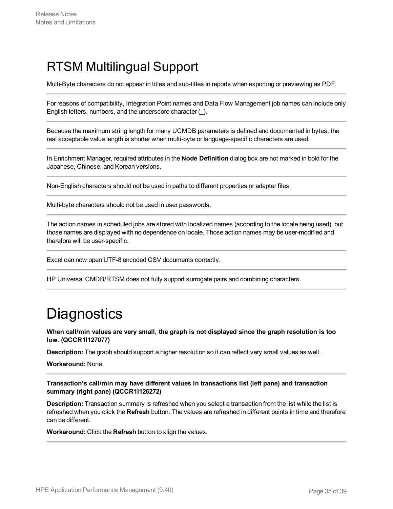## <span id="page-34-0"></span>RTSM Multilingual Support

Multi-Byte characters do not appear in titles and sub-titles in reports when exporting or previewing as PDF.

For reasons of compatibility, Integration Point names and Data Flow Management job names can include only English letters, numbers, and the underscore character (**\_**).

Because the maximum string length for many UCMDB parameters is defined and documented in bytes, the real acceptable value length is shorter when multi-byte or language-specific characters are used.

In Enrichment Manager, required attributes in the **Node Definition** dialog box are not marked in bold for the Japanese, Chinese, and Korean versions.

Non-English characters should not be used in paths to different properties or adapter files.

Multi-byte characters should not be used in user passwords.

The action names in scheduled jobs are stored with localized names (according to the locale being used), but those names are displayed with no dependence on locale. Those action names may be user-modified and therefore will be user-specific.

Excel can now open UTF-8 encoded CSV documents correctly.

<span id="page-34-1"></span>HP Universal CMDB/RTSM does not fully support surrogate pairs and combining characters.

# **Diagnostics**

**When call/min values are very small, the graph is not displayed since the graph resolution is too low. (QCCR1I127077)**

**Description:** The graph should support a higher resolution so it can reflect very small values as well.

**Workaround:** None.

**Transaction's call/min may have different values in transactions list (left pane) and transaction summary (right pane) (QCCR1I126272)**

**Description:** Transaction summary is refreshed when you select a transaction from the list while the list is refreshed when you click the **Refresh** button. The values are refreshed in different points in time and therefore can be different.

**Workaround:** Click the **Refresh** button to align the values.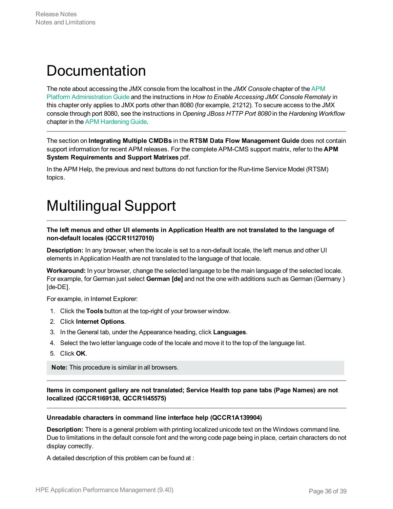# <span id="page-35-0"></span>**Documentation**

The note about accessing the JMX console from the localhost in the *JMX Console* chapter of the [APM](https://softwaresupport.hpe.com/km/KM02362105) Platform [Administration](https://softwaresupport.hpe.com/km/KM02362105) Guide and the instructions in *How to Enable Accessing JMX Console Remotely* in this chapter only applies to JMX ports other than 8080 (for example, 21212). To secure access to the JMX console through port 8080, see the instructions in *Opening JBoss HTTP Port 8080* in the *Hardening Workflow* chapter in the APM [Hardening](https://softwaresupport.hpe.com/km/KM02225462) Guide.

The section on **Integrating Multiple CMDBs** in the **RTSM Data Flow Management Guide** does not contain support information for recent APM releases. For the complete APM-CMS support matrix, refer to the **APM System Requirements and Support Matrixes** pdf.

<span id="page-35-1"></span>In the APM Help, the previous and next buttons do not function for the Run-time Service Model (RTSM) topics.

# Multilingual Support

**The left menus and other UI elements in Application Health are not translated to the language of non-default locales (QCCR1I127010)**

**Description:** In any browser, when the locale is set to a non-default locale, the left menus and other UI elements in Application Health are not translated to the language of that locale.

**Workaround:** In your browser, change the selected language to be the main language of the selected locale. For example, for German just select **German [de]** and not the one with additions such as German (Germany ) [de-DE].

For example, in Internet Explorer:

- 1. Click the **Tools** button at the top-right of your browser window.
- 2. Click **Internet Options**.
- 3. In the General tab, under the Appearance heading, click **Languages**.
- 4. Select the two letter language code of the locale and move it to the top of the language list.
- 5. Click **OK**.

**Note:** This procedure is similar in all browsers.

**Items in component gallery are not translated; Service Health top pane tabs (Page Names) are not localized (QCCR1I69138, QCCR1I45575)**

#### **Unreadable characters in command line interface help (QCCR1A139904)**

**Description:** There is a general problem with printing localized unicode text on the Windows command line. Due to limitations in the default console font and the wrong code page being in place, certain characters do not display correctly.

A detailed description of this problem can be found at :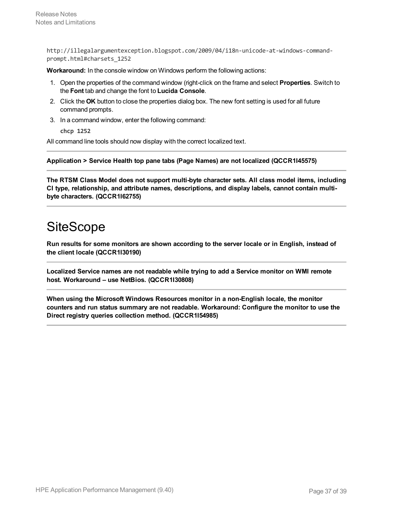http://illegalargumentexception.blogspot.com/2009/04/i18n-unicode-at-windows-commandprompt.html#charsets\_1252

**Workaround:** In the console window on Windows perform the following actions:

- 1. Open the properties of the command window (right-click on the frame and select **Properties**. Switch to the **Font** tab and change the font to **Lucida Console**.
- 2. Click the **OK** button to close the properties dialog box. The new font setting is used for all future command prompts.
- 3. In a command window, enter the following command:

**chcp 1252**

All command line tools should now display with the correct localized text.

**Application > Service Health top pane tabs (Page Names) are not localized (QCCR1I45575)**

**The RTSM Class Model does not support multi-byte character sets. All class model items, including CI type, relationship, and attribute names, descriptions, and display labels, cannot contain multibyte characters. (QCCR1I62755)**

### <span id="page-36-0"></span>**SiteScope**

**Run results for some monitors are shown according to the server locale or in English, instead of the client locale (QCCR1I30190)**

**Localized Service names are not readable while trying to add a Service monitor on WMI remote host. Workaround – use NetBios. (QCCR1I30808)**

**When using the Microsoft Windows Resources monitor in a non-English locale, the monitor counters and run status summary are not readable. Workaround: Configure the monitor to use the Direct registry queries collection method. (QCCR1I54985)**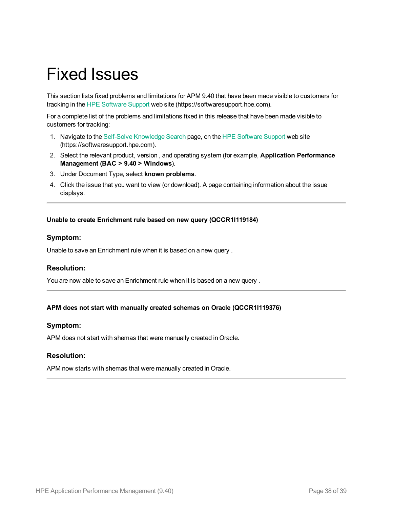# <span id="page-37-0"></span>Fixed Issues

This section lists fixed problems and limitations for APM 9.40 that have been made visible to customers for tracking in the HPE [Software](https://softwaresupport.hpe.com/) Support web site (https://softwaresupport.hpe.com).

For a complete list of the problems and limitations fixed in this release that have been made visible to customers for tracking:

- 1. Navigate to the Self-Solve [Knowledge](https://softwaresupport.hpe.com/group/softwaresupport/search-result?keyword=) Search page, on the HPE [Software](https://softwaresupport.hpe.com/) Support web site (https://softwaresupport.hpe.com).
- 2. Select the relevant product, version , and operating system (for example, **Application Performance Management (BAC > 9.40 > Windows**).
- 3. Under Document Type, select **known problems**.
- 4. Click the issue that you want to view (or download). A page containing information about the issue displays.

#### **Unable to create Enrichment rule based on new query (QCCR1I119184)**

### **Symptom:**

Unable to save an Enrichment rule when it is based on a new query .

### **Resolution:**

You are now able to save an Enrichment rule when it is based on a new query .

### **APM does not start with manually created schemas on Oracle (QCCR1I119376)**

### **Symptom:**

APM does not start with shemas that were manually created in Oracle.

### **Resolution:**

APM now starts with shemas that were manually created in Oracle.